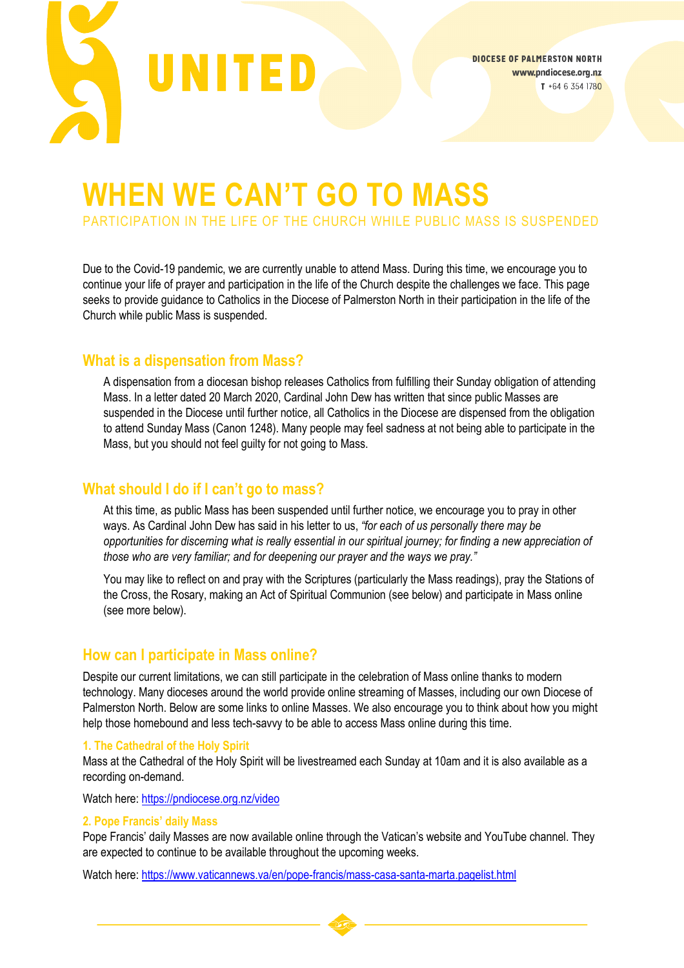

# **WHEN WE CAN'T GO TO MASS**

PARTICIPATION IN THE LIFE OF THE CHURCH WHILE PUBLIC MASS IS SUSPENDED

Due to the Covid-19 pandemic, we are currently unable to attend Mass. During this time, we encourage you to continue your life of prayer and participation in the life of the Church despite the challenges we face. This page seeks to provide guidance to Catholics in the Diocese of Palmerston North in their participation in the life of the Church while public Mass is suspended.

### **What is a dispensation from Mass?**

A dispensation from a diocesan bishop releases Catholics from fulfilling their Sunday obligation of attending Mass. In a letter dated 20 March 2020, Cardinal John Dew has written that since public Masses are suspended in the Diocese until further notice, all Catholics in the Diocese are dispensed from the obligation to attend Sunday Mass (Canon 1248). Many people may feel sadness at not being able to participate in the Mass, but you should not feel guilty for not going to Mass.

## **What should I do if I can't go to mass?**

At this time, as public Mass has been suspended until further notice, we encourage you to pray in other ways. As Cardinal John Dew has said in his letter to us, *"for each of us personally there may be opportunities for discerning what is really essential in our spiritual journey; for finding a new appreciation of those who are very familiar; and for deepening our prayer and the ways we pray."*

You may like to reflect on and pray with the Scriptures (particularly the Mass readings), pray the Stations of the Cross, the Rosary, making an Act of Spiritual Communion (see below) and participate in Mass online (see more below).

# **How can I participate in Mass online?**

Despite our current limitations, we can still participate in the celebration of Mass online thanks to modern technology. Many dioceses around the world provide online streaming of Masses, including our own Diocese of Palmerston North. Below are some links to online Masses. We also encourage you to think about how you might help those homebound and less tech-savvy to be able to access Mass online during this time.

#### **1. The Cathedral of the Holy Spirit**

Mass at the Cathedral of the Holy Spirit will be livestreamed each Sunday at 10am and it is also available as a recording on-demand.

Watch here:<https://pndiocese.org.nz/video>

#### **2. Pope Francis' daily Mass**

Pope Francis' daily Masses are now available online through the Vatican's website and YouTube channel. They are expected to continue to be available throughout the upcoming weeks.

Watch here:<https://www.vaticannews.va/en/pope-francis/mass-casa-santa-marta.pagelist.html>